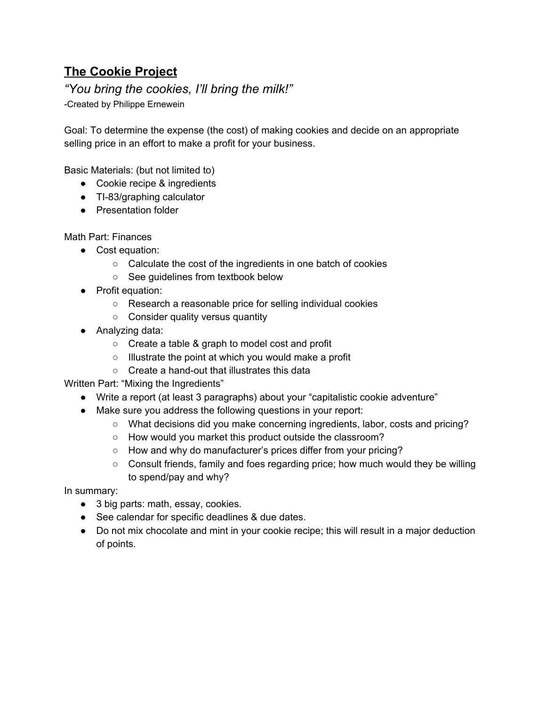# **The Cookie Project**

## *"You bring the cookies, I'll bring the milk!"*

-Created by Philippe Ernewein

Goal: To determine the expense (the cost) of making cookies and decide on an appropriate selling price in an effort to make a profit for your business.

Basic Materials: (but not limited to)

- Cookie recipe & ingredients
- TI-83/graphing calculator
- Presentation folder

Math Part: Finances

- Cost equation:
	- Calculate the cost of the ingredients in one batch of cookies
	- See guidelines from textbook below
- Profit equation:
	- Research a reasonable price for selling individual cookies
	- Consider quality versus quantity
- Analyzing data:
	- Create a table & graph to model cost and profit
	- Illustrate the point at which you would make a profit
	- Create a hand-out that illustrates this data

Written Part: "Mixing the Ingredients"

- Write a report (at least 3 paragraphs) about your "capitalistic cookie adventure"
- Make sure you address the following questions in your report:
	- What decisions did you make concerning ingredients, labor, costs and pricing?
	- How would you market this product outside the classroom?
	- How and why do manufacturer's prices differ from your pricing?
	- Consult friends, family and foes regarding price; how much would they be willing to spend/pay and why?

In summary:

- 3 big parts: math, essay, cookies.
- See calendar for specific deadlines & due dates.
- Do not mix chocolate and mint in your cookie recipe; this will result in a major deduction of points.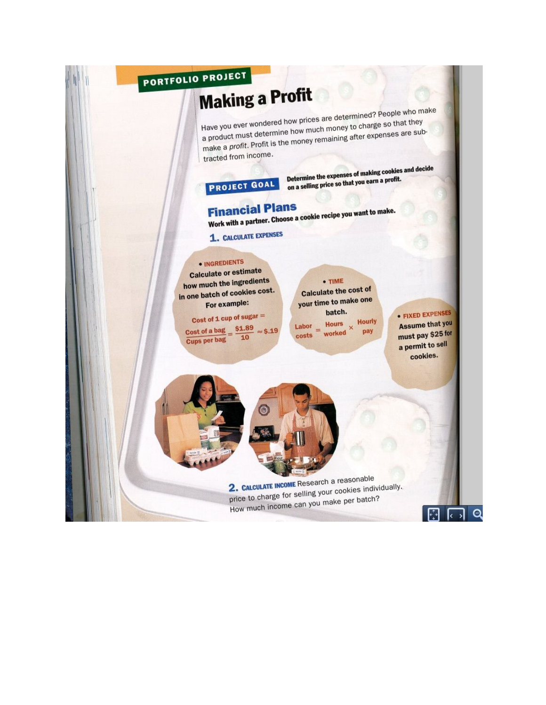#### PORTFOLIO PROJECT **Making a Profit** Have you ever wondered how prices are determined? People who make a product must determine how much money to charge so that they make a profit. Profit is the money remaining after expenses are subtracted from income. Determine the expenses of making cookies and decide on a selling price so that you earn a profit. **PROJECT GOAL Financial Plans** Work with a partner. Choose a cookie recipe you want to make. 1. CALCULATE EXPENSES · INGREDIENTS **Calculate or estimate** how much the ingredients  $\bullet$  TIME **Calculate the cost of** in one batch of cookies cost. your time to make one For example: • FIXED EXPENSES batch. Cost of 1 cup of sugar  $=$ **Hourly Assume that you** Hours  $\frac{\text{Cost of a bag}}{\text{Sumer bar has}} = \frac{\$1.89}{10}$ Labor ×  $=$  worked  $\approx$  \$.19 pay must pay \$25 for costs Cups per bag a permit to sell cookies.

2. CALCULATE INCOME Research a reasonable price to charge for selling your cookies individually. How much income can you make per batch?

 $\Theta$ 

 $\lceil \cdot \rceil$ R  $\overline{\phantom{a}}$